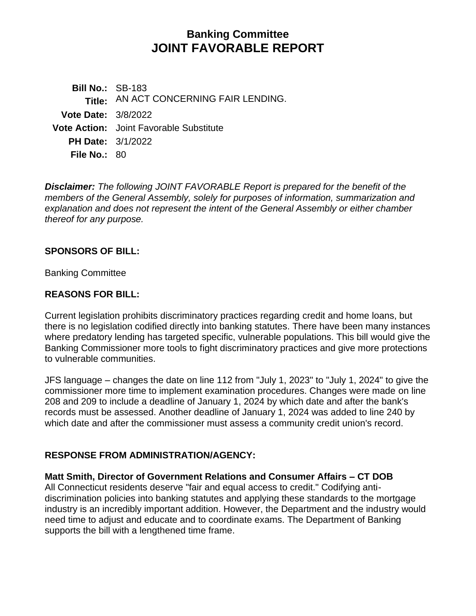# **Banking Committee JOINT FAVORABLE REPORT**

**Bill No.:** SB-183 **Title:** AN ACT CONCERNING FAIR LENDING. **Vote Date:** 3/8/2022 **Vote Action:** Joint Favorable Substitute **PH Date:** 3/1/2022 **File No.:** 80

*Disclaimer: The following JOINT FAVORABLE Report is prepared for the benefit of the members of the General Assembly, solely for purposes of information, summarization and explanation and does not represent the intent of the General Assembly or either chamber thereof for any purpose.*

### **SPONSORS OF BILL:**

Banking Committee

### **REASONS FOR BILL:**

Current legislation prohibits discriminatory practices regarding credit and home loans, but there is no legislation codified directly into banking statutes. There have been many instances where predatory lending has targeted specific, vulnerable populations. This bill would give the Banking Commissioner more tools to fight discriminatory practices and give more protections to vulnerable communities.

JFS language – changes the date on line 112 from "July 1, 2023" to "July 1, 2024" to give the commissioner more time to implement examination procedures. Changes were made on line 208 and 209 to include a deadline of January 1, 2024 by which date and after the bank's records must be assessed. Another deadline of January 1, 2024 was added to line 240 by which date and after the commissioner must assess a community credit union's record.

# **RESPONSE FROM ADMINISTRATION/AGENCY:**

**Matt Smith, Director of Government Relations and Consumer Affairs – CT DOB**  All Connecticut residents deserve "fair and equal access to credit." Codifying antidiscrimination policies into banking statutes and applying these standards to the mortgage industry is an incredibly important addition. However, the Department and the industry would need time to adjust and educate and to coordinate exams. The Department of Banking supports the bill with a lengthened time frame.